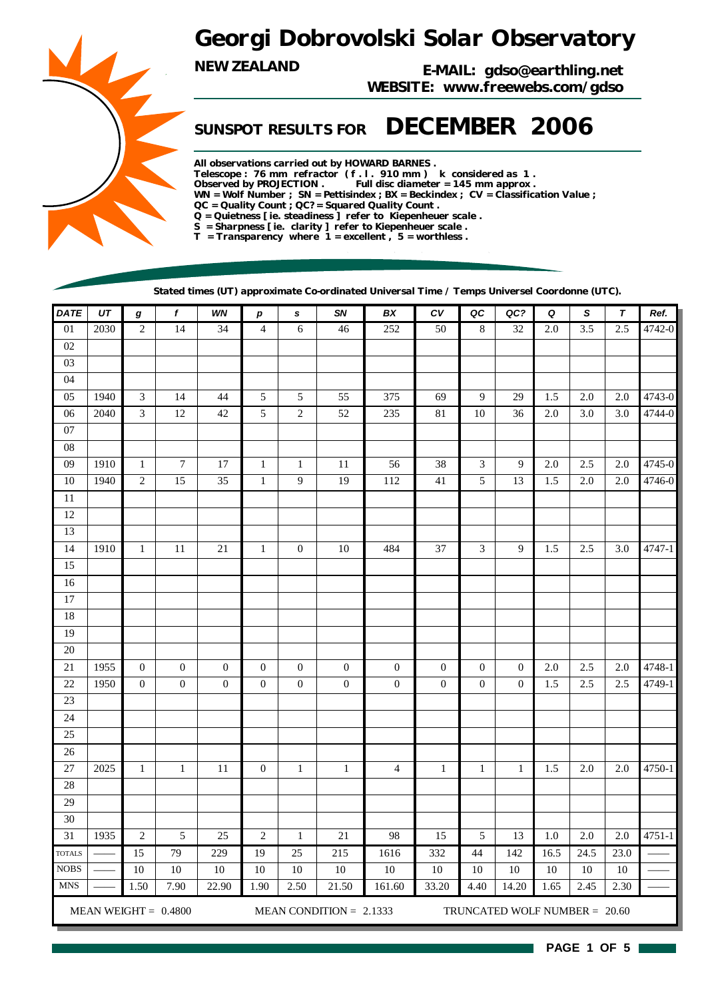## *Georgi Dobrovolski Solar Observatory*

*NEW ZEALAND E-MAIL: gdso@earthling.net WEBSITE: www.freewebs.com/gdso*

## *SUNSPOT RESULTS FOR DECEMBER 2006*

*All observations carried out by HOWARD BARNES . Telescope : 76 mm refractor ( f . l . 910 mm ) k considered as 1 . Observed by PROJECTION . Full disc diameter = 145 mm approx . WN = Wolf Number ; SN = Pettisindex ; BX = Beckindex ; CV = Classification Value ; QC = Quality Count ; QC? = Squared Quality Count . Q = Quietness [ ie. steadiness ] refer to Kiepenheuer scale . S = Sharpness [ ie. clarity ] refer to Kiepenheuer scale . T = Transparency where 1 = excellent , 5 = worthless .*

*Stated times (UT) approximate Co-ordinated Universal Time / Temps Universel Coordonne (UTC).*

| DATE                          | $U\mathcal{T}$ | $\bm{g}$         | f                      | WN               | $\boldsymbol{p}$ | $\mathbf{s}$     | SN                        | BX               | ${\cal C}{\cal V}$ | QC               | QC?                             | Q       | $\mathbf S$      | $\boldsymbol{\tau}$ | Ref.   |
|-------------------------------|----------------|------------------|------------------------|------------------|------------------|------------------|---------------------------|------------------|--------------------|------------------|---------------------------------|---------|------------------|---------------------|--------|
| 01                            | 2030           | $\mathfrak{2}$   | $\overline{14}$        | $\overline{34}$  | $\overline{4}$   | 6                | 46                        | 252              | 50                 | 8                | $\overline{32}$                 | 2.0     | $\overline{3.5}$ | 2.5                 | 4742-0 |
| $02\,$                        |                |                  |                        |                  |                  |                  |                           |                  |                    |                  |                                 |         |                  |                     |        |
| 03                            |                |                  |                        |                  |                  |                  |                           |                  |                    |                  |                                 |         |                  |                     |        |
| 04                            |                |                  |                        |                  |                  |                  |                           |                  |                    |                  |                                 |         |                  |                     |        |
| 05                            | 1940           | $\mathfrak{Z}$   | 14                     | 44               | 5                | 5                | 55                        | 375              | 69                 | 9                | 29                              | 1.5     | 2.0              | $2.0\,$             | 4743-0 |
| $06\,$                        | 2040           | $\mathfrak{Z}$   | 12                     | $42\,$           | 5                | $\sqrt{2}$       | $52\,$                    | 235              | 81                 | $10\,$           | 36                              | 2.0     | 3.0              | 3.0                 | 4744-0 |
| $07\,$                        |                |                  |                        |                  |                  |                  |                           |                  |                    |                  |                                 |         |                  |                     |        |
| ${\bf 08}$                    |                |                  |                        |                  |                  |                  |                           |                  |                    |                  |                                 |         |                  |                     |        |
| 09                            | 1910           | $\mathbf{1}$     | $\boldsymbol{7}$       | 17               | $\mathbf{1}$     | $\mathbf{1}$     | 11                        | 56               | 38                 | 3                | 9                               | 2.0     | 2.5              | $2.0\,$             | 4745-0 |
| 10                            | 1940           | $\overline{2}$   | 15                     | 35               | $\mathbf{1}$     | 9                | 19                        | 112              | 41                 | 5                | 13                              | 1.5     | $2.0\,$          | $2.0\,$             | 4746-0 |
| $11\,$                        |                |                  |                        |                  |                  |                  |                           |                  |                    |                  |                                 |         |                  |                     |        |
| $12\,$                        |                |                  |                        |                  |                  |                  |                           |                  |                    |                  |                                 |         |                  |                     |        |
| 13                            |                |                  |                        |                  |                  |                  |                           |                  |                    |                  |                                 |         |                  |                     |        |
| 14                            | 1910           | $\mathbf{1}$     | 11                     | 21               | $\mathbf{1}$     | $\boldsymbol{0}$ | 10                        | 484              | 37                 | 3                | 9                               | 1.5     | 2.5              | 3.0                 | 4747-1 |
| 15                            |                |                  |                        |                  |                  |                  |                           |                  |                    |                  |                                 |         |                  |                     |        |
| 16                            |                |                  |                        |                  |                  |                  |                           |                  |                    |                  |                                 |         |                  |                     |        |
| 17                            |                |                  |                        |                  |                  |                  |                           |                  |                    |                  |                                 |         |                  |                     |        |
| 18                            |                |                  |                        |                  |                  |                  |                           |                  |                    |                  |                                 |         |                  |                     |        |
| 19                            |                |                  |                        |                  |                  |                  |                           |                  |                    |                  |                                 |         |                  |                     |        |
| $20\,$                        |                |                  |                        |                  |                  |                  |                           |                  |                    |                  |                                 |         |                  |                     |        |
| $21\,$                        | 1955           | $\boldsymbol{0}$ | $\mathbf{0}$           | $\boldsymbol{0}$ | $\overline{0}$   | $\mathbf{0}$     | $\mathbf{0}$              | $\mathbf{0}$     | $\boldsymbol{0}$   | $\mathbf{0}$     | $\boldsymbol{0}$                | 2.0     | 2.5              | $2.0\,$             | 4748-1 |
| 22                            | 1950           | $\boldsymbol{0}$ | $\boldsymbol{0}$       | $\boldsymbol{0}$ | $\boldsymbol{0}$ | $\boldsymbol{0}$ | $\boldsymbol{0}$          | $\boldsymbol{0}$ | $\boldsymbol{0}$   | $\boldsymbol{0}$ | $\mathbf{0}$                    | 1.5     | 2.5              | 2.5                 | 4749-1 |
| $23\,$                        |                |                  |                        |                  |                  |                  |                           |                  |                    |                  |                                 |         |                  |                     |        |
| 24                            |                |                  |                        |                  |                  |                  |                           |                  |                    |                  |                                 |         |                  |                     |        |
| $25\,$                        |                |                  |                        |                  |                  |                  |                           |                  |                    |                  |                                 |         |                  |                     |        |
| 26                            |                |                  |                        |                  |                  |                  |                           |                  |                    |                  |                                 |         |                  |                     |        |
| 27                            | 2025           | $\mathbf{1}$     | $\mathbf{1}$           | $11\,$           | $\boldsymbol{0}$ | $\mathbf{1}$     | $\mathbf{1}$              | $\overline{4}$   | $\mathbf{1}$       | $\mathbf{1}$     | $\mathbf{1}$                    | 1.5     | $2.0\,$          | $2.0\,$             | 4750-1 |
| $28\,$                        |                |                  |                        |                  |                  |                  |                           |                  |                    |                  |                                 |         |                  |                     |        |
| 29                            |                |                  |                        |                  |                  |                  |                           |                  |                    |                  |                                 |         |                  |                     |        |
| 30                            |                |                  |                        |                  |                  |                  |                           |                  |                    |                  |                                 |         |                  |                     |        |
| 31                            | 1935           | $\overline{c}$   | $\sqrt{5}$             | $25\,$           | 2                | 1                | $21\,$                    | 98               | 15                 | 5                | 13                              | $1.0\,$ | $2.0\,$          | 2.0                 | 4751-1 |
| <b>TOTALS</b>                 |                | 15               | 79                     | 229              | 19               | $25\,$           | 215                       | 1616             | 332                | 44               | 142                             | 16.5    | 24.5             | 23.0                |        |
| $\rm{NOBS}$                   |                | 10               | $10\,$                 | 10               | 10               | $10\,$           | 10                        | 10               | 10                 | 10               | 10                              | 10      | 10               | 10                  |        |
| $\operatorname{\mathbf{MNS}}$ |                | 1.50             | 7.90                   | 22.90            | 1.90             | 2.50             | 21.50                     | 161.60           | 33.20              | 4.40             | 14.20                           | 1.65    | 2.45             | 2.30                |        |
|                               |                |                  | MEAN WEIGHT = $0.4800$ |                  |                  |                  | MEAN CONDITION = $2.1333$ |                  |                    |                  | TRUNCATED WOLF NUMBER = $20.60$ |         |                  |                     |        |

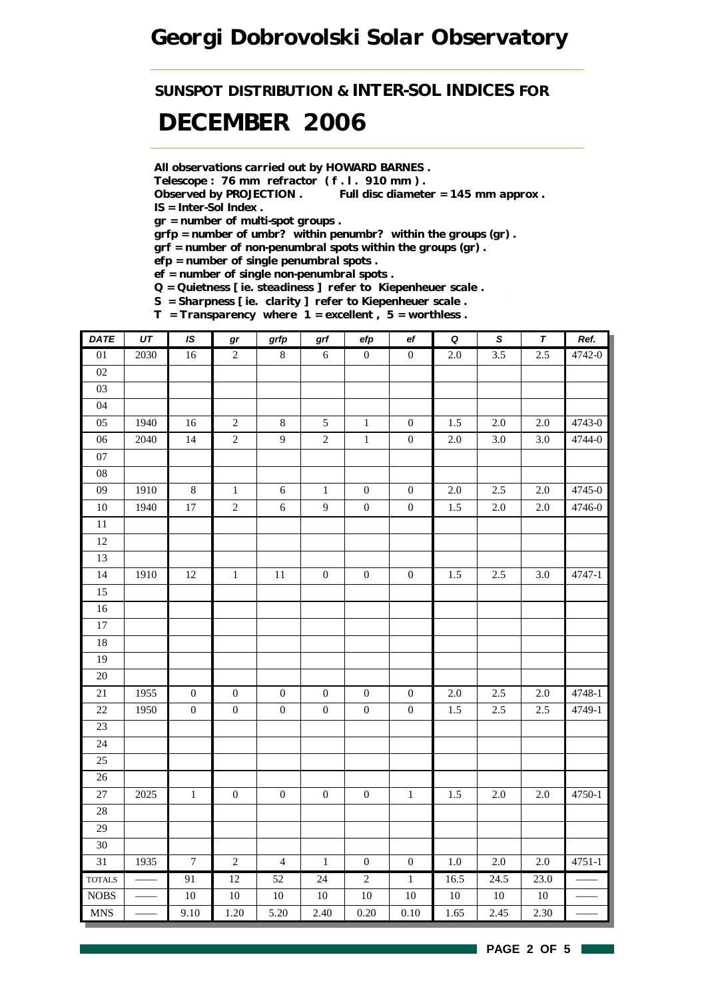## *Georgi Dobrovolski Solar Observatory*

*SUNSPOT DISTRIBUTION & INTER-SOL INDICES FOR*

## *DECEMBER 2006*

*All observations carried out by HOWARD BARNES .*

*Telescope : 76 mm refractor ( f . l . 910 mm ) .*

*Observed by PROJECTION . Full disc diameter = 145 mm approx . IS = Inter-Sol Index .*

*gr = number of multi-spot groups .*

*grfp = number of umbr? within penumbr? within the groups (gr) .*

*grf = number of non-penumbral spots within the groups (gr) .*

*efp = number of single penumbral spots .*

*ef = number of single non-penumbral spots .*

*Q = Quietness [ ie. steadiness ] refer to Kiepenheuer scale .*

*S = Sharpness [ ie. clarity ] refer to Kiepenheuer scale . T = Transparency where 1 = excellent , 5 = worthless .*

| <b>DATE</b>     | $\overline{UT}$ | IS               | gr               | grfp             | grf              | efp              | $_{\rm ef}$      | $\pmb Q$         | $\overline{s}$   | $\overline{\tau}$ | Ref.       |
|-----------------|-----------------|------------------|------------------|------------------|------------------|------------------|------------------|------------------|------------------|-------------------|------------|
| $\overline{01}$ | 2030            | 16               | $\overline{2}$   | $\bf 8$          | $\sqrt{6}$       | $\overline{0}$   | $\overline{0}$   | $\overline{2.0}$ | 3.5              | 2.5               | 4742-0     |
| 02              |                 |                  |                  |                  |                  |                  |                  |                  |                  |                   |            |
| 03              |                 |                  |                  |                  |                  |                  |                  |                  |                  |                   |            |
| 04              |                 |                  |                  |                  |                  |                  |                  |                  |                  |                   |            |
| 05              | 1940            | 16               | $\sqrt{2}$       | $\,8\,$          | $\sqrt{5}$       | $\mathbf{1}$     | $\boldsymbol{0}$ | 1.5              | 2.0              | 2.0               | 4743-0     |
| $\overline{06}$ | 2040            | 14               | $\overline{2}$   | $\overline{9}$   | $\overline{2}$   | $\overline{1}$   | $\boldsymbol{0}$ | $2.0\,$          | $\overline{3.0}$ | 3.0               | 4744-0     |
| $07\,$          |                 |                  |                  |                  |                  |                  |                  |                  |                  |                   |            |
| 08              |                 |                  |                  |                  |                  |                  |                  |                  |                  |                   |            |
| 09              | 1910            | $8\,$            | $\,1\,$          | $\sqrt{6}$       | $1\,$            | $\boldsymbol{0}$ | $\boldsymbol{0}$ | $2.0\,$          | 2.5              | 2.0               | 4745-0     |
| 10              | 1940            | $17\,$           | $\overline{c}$   | $\sqrt{6}$       | $\mathbf{9}$     | $\boldsymbol{0}$ | $\boldsymbol{0}$ | 1.5              | 2.0              | 2.0               | 4746-0     |
| $\overline{11}$ |                 |                  |                  |                  |                  |                  |                  |                  |                  |                   |            |
| 12              |                 |                  |                  |                  |                  |                  |                  |                  |                  |                   |            |
| 13              |                 |                  |                  |                  |                  |                  |                  |                  |                  |                   |            |
| $\overline{14}$ | 1910            | $12\,$           | $\,1$            | $11\,$           | $\boldsymbol{0}$ | $\boldsymbol{0}$ | $\boldsymbol{0}$ | $1.5\,$          | $2.5\,$          | 3.0               | 4747-1     |
| 15              |                 |                  |                  |                  |                  |                  |                  |                  |                  |                   |            |
| 16              |                 |                  |                  |                  |                  |                  |                  |                  |                  |                   |            |
| $\overline{17}$ |                 |                  |                  |                  |                  |                  |                  |                  |                  |                   |            |
| 18              |                 |                  |                  |                  |                  |                  |                  |                  |                  |                   |            |
| 19              |                 |                  |                  |                  |                  |                  |                  |                  |                  |                   |            |
| 20              |                 |                  |                  |                  |                  |                  |                  |                  |                  |                   |            |
| $21\,$          | 1955            | $\boldsymbol{0}$ | $\boldsymbol{0}$ | $\boldsymbol{0}$ | $\boldsymbol{0}$ | $\boldsymbol{0}$ | $\boldsymbol{0}$ | $2.0\,$          | 2.5              | $2.0\,$           | 4748-1     |
| 22              | 1950            | $\boldsymbol{0}$ | $\boldsymbol{0}$ | $\boldsymbol{0}$ | $\boldsymbol{0}$ | $\boldsymbol{0}$ | $\boldsymbol{0}$ | 1.5              | $2.5\,$          | 2.5               | 4749-1     |
| $\overline{23}$ |                 |                  |                  |                  |                  |                  |                  |                  |                  |                   |            |
| 24              |                 |                  |                  |                  |                  |                  |                  |                  |                  |                   |            |
| $25\,$          |                 |                  |                  |                  |                  |                  |                  |                  |                  |                   |            |
| 26              |                 |                  |                  |                  |                  |                  |                  |                  |                  |                   |            |
| 27              | 2025            | $\,1$            | $\boldsymbol{0}$ | $\boldsymbol{0}$ | $\boldsymbol{0}$ | $\boldsymbol{0}$ | $\,1\,$          | $1.5\,$          | $2.0\,$          | $2.0\,$           | 4750-1     |
| 28              |                 |                  |                  |                  |                  |                  |                  |                  |                  |                   |            |
| 29              |                 |                  |                  |                  |                  |                  |                  |                  |                  |                   |            |
| $30\,$          |                 |                  |                  |                  |                  |                  |                  |                  |                  |                   |            |
| $\overline{31}$ | 1935            | $\boldsymbol{7}$ | $\sqrt{2}$       | $\overline{4}$   | $\,1\,$          | $\boldsymbol{0}$ | $\boldsymbol{0}$ | $1.0\,$          | 2.0              | $2.0\,$           | $4751 - 1$ |
| <b>TOTALS</b>   |                 | 91               | 12               | 52               | 24               | $\overline{2}$   | $\overline{1}$   | 16.5             | 24.5             | 23.0              |            |
| $\rm{NOBS}$     |                 | $10\,$           | $10\,$           | $10\,$           | $10\,$           | $10\,$           | $10\,$           | $10\,$           | $10\,$           | $10\,$            |            |
| <b>MNS</b>      |                 | 9.10             | 1.20             | 5.20             | 2.40             | 0.20             | $0.10\,$         | 1.65             | 2.45             | 2.30              |            |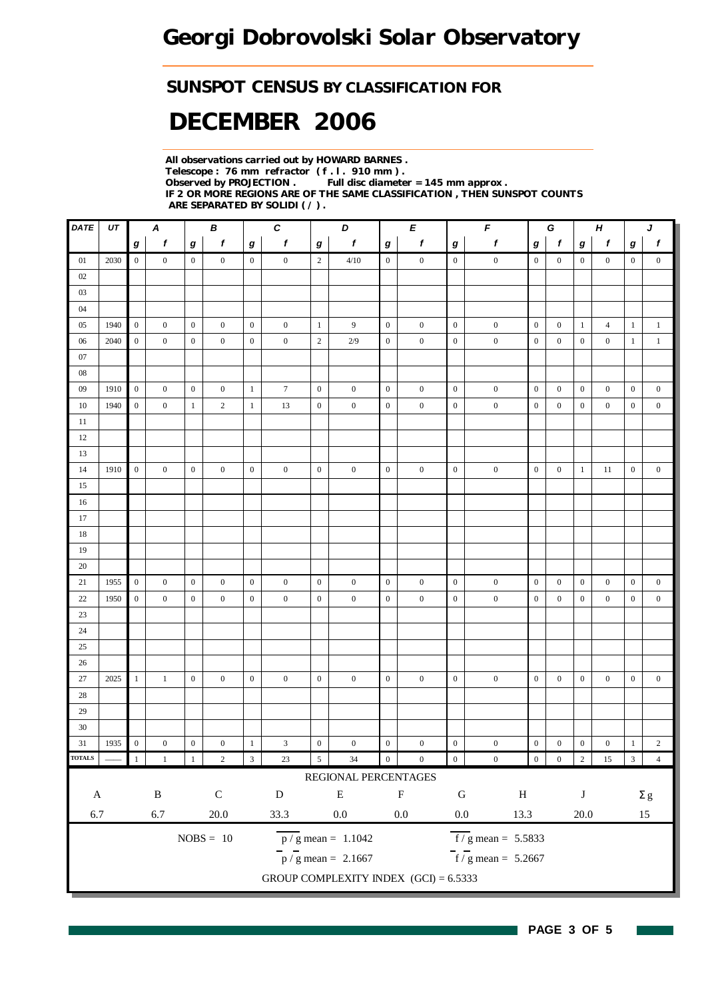### *SUNSPOT CENSUS BY CLASSIFICATION FOR*

# *DECEMBER 2006*

*All observations carried out by HOWARD BARNES . Telescope : 76 mm refractor ( f . l . 910 mm ) . Full disc diameter = 145 mm approx . IF 2 OR MORE REGIONS ARE OF THE SAME CLASSIFICATION , THEN SUNSPOT COUNTS ARE SEPARATED BY SOLIDI ( / ) .*

| <b>DATE</b>               | UT   |                  | A                |                  | В                |                  | $\pmb{C}$        |                  | D                                       |                  | E                |                  | F                                |                  | G                |                  | $\boldsymbol{H}$ |                  | J                |
|---------------------------|------|------------------|------------------|------------------|------------------|------------------|------------------|------------------|-----------------------------------------|------------------|------------------|------------------|----------------------------------|------------------|------------------|------------------|------------------|------------------|------------------|
|                           |      | g                | $\boldsymbol{f}$ | g                | $\mathbf f$      | $\boldsymbol{g}$ | $\boldsymbol{f}$ | $\bm{g}$         | $\pmb{f}$                               | $\bm{g}$         | f                | $\boldsymbol{g}$ | $\pmb{f}$                        | g                | $\boldsymbol{f}$ | $\bm{g}$         | f                | g                | $\boldsymbol{f}$ |
| 01                        | 2030 | $\overline{0}$   | $\boldsymbol{0}$ | $\boldsymbol{0}$ | $\mathbf{0}$     | $\overline{0}$   | $\boldsymbol{0}$ | $\overline{2}$   | 4/10                                    | $\mathbf{0}$     | $\boldsymbol{0}$ | $\mathbf{0}$     | $\boldsymbol{0}$                 | $\boldsymbol{0}$ | $\boldsymbol{0}$ | $\boldsymbol{0}$ | $\mathbf{0}$     | $\overline{0}$   | $\mathbf{0}$     |
| 02                        |      |                  |                  |                  |                  |                  |                  |                  |                                         |                  |                  |                  |                                  |                  |                  |                  |                  |                  |                  |
| 03                        |      |                  |                  |                  |                  |                  |                  |                  |                                         |                  |                  |                  |                                  |                  |                  |                  |                  |                  |                  |
| 04                        |      |                  |                  |                  |                  |                  |                  |                  |                                         |                  |                  |                  |                                  |                  |                  |                  |                  |                  |                  |
| 05                        | 1940 | $\overline{0}$   | $\boldsymbol{0}$ | $\boldsymbol{0}$ | $\mathbf{0}$     | $\boldsymbol{0}$ | $\boldsymbol{0}$ | $\mathbf{1}$     | 9                                       | $\boldsymbol{0}$ | $\boldsymbol{0}$ | $\mathbf{0}$     | $\boldsymbol{0}$                 | $\boldsymbol{0}$ | $\boldsymbol{0}$ | $\mathbf{1}$     | $\overline{4}$   | $\mathbf{1}$     | $\mathbf{1}$     |
| 06                        | 2040 | $\boldsymbol{0}$ | $\boldsymbol{0}$ | $\mathbf{0}$     | $\mathbf{0}$     | $\boldsymbol{0}$ | $\boldsymbol{0}$ | $\sqrt{2}$       | 2/9                                     | $\boldsymbol{0}$ | $\boldsymbol{0}$ | $\boldsymbol{0}$ | $\boldsymbol{0}$                 | $\boldsymbol{0}$ | $\boldsymbol{0}$ | $\boldsymbol{0}$ | $\boldsymbol{0}$ | $\mathbf{1}$     | $\,1\,$          |
| 07                        |      |                  |                  |                  |                  |                  |                  |                  |                                         |                  |                  |                  |                                  |                  |                  |                  |                  |                  |                  |
| $08\,$                    |      |                  |                  |                  |                  |                  |                  |                  |                                         |                  |                  |                  |                                  |                  |                  |                  |                  |                  |                  |
| 09                        | 1910 | $\boldsymbol{0}$ | $\boldsymbol{0}$ | $\bf{0}$         | $\boldsymbol{0}$ | $\mathbf{1}$     | $\tau$           | $\boldsymbol{0}$ | $\boldsymbol{0}$                        | $\boldsymbol{0}$ | $\boldsymbol{0}$ | $\mathbf{0}$     | $\boldsymbol{0}$                 | $\boldsymbol{0}$ | $\boldsymbol{0}$ | $\bf{0}$         | $\boldsymbol{0}$ | $\boldsymbol{0}$ | $\boldsymbol{0}$ |
| 10                        | 1940 | $\boldsymbol{0}$ | $\mathbf{0}$     | $\mathbf{1}$     | $\overline{c}$   | $1\,$            | 13               | $\boldsymbol{0}$ | $\boldsymbol{0}$                        | $\boldsymbol{0}$ | $\boldsymbol{0}$ | $\boldsymbol{0}$ | $\boldsymbol{0}$                 | $\boldsymbol{0}$ | $\mathbf{0}$     | $\boldsymbol{0}$ | $\mathbf{0}$     | $\boldsymbol{0}$ | $\boldsymbol{0}$ |
| 11                        |      |                  |                  |                  |                  |                  |                  |                  |                                         |                  |                  |                  |                                  |                  |                  |                  |                  |                  |                  |
| 12                        |      |                  |                  |                  |                  |                  |                  |                  |                                         |                  |                  |                  |                                  |                  |                  |                  |                  |                  |                  |
| 13                        |      |                  |                  |                  |                  |                  |                  |                  |                                         |                  |                  |                  |                                  |                  |                  |                  |                  |                  |                  |
| 14                        | 1910 | $\boldsymbol{0}$ | $\boldsymbol{0}$ | $\boldsymbol{0}$ | $\boldsymbol{0}$ | $\boldsymbol{0}$ | $\boldsymbol{0}$ | $\boldsymbol{0}$ | $\boldsymbol{0}$                        | $\boldsymbol{0}$ | $\boldsymbol{0}$ | $\boldsymbol{0}$ | $\boldsymbol{0}$                 | $\boldsymbol{0}$ | $\boldsymbol{0}$ | $\mathbf{1}$     | 11               | $\boldsymbol{0}$ | $\boldsymbol{0}$ |
| 15                        |      |                  |                  |                  |                  |                  |                  |                  |                                         |                  |                  |                  |                                  |                  |                  |                  |                  |                  |                  |
| 16                        |      |                  |                  |                  |                  |                  |                  |                  |                                         |                  |                  |                  |                                  |                  |                  |                  |                  |                  |                  |
| 17                        |      |                  |                  |                  |                  |                  |                  |                  |                                         |                  |                  |                  |                                  |                  |                  |                  |                  |                  |                  |
| 18                        |      |                  |                  |                  |                  |                  |                  |                  |                                         |                  |                  |                  |                                  |                  |                  |                  |                  |                  |                  |
| 19                        |      |                  |                  |                  |                  |                  |                  |                  |                                         |                  |                  |                  |                                  |                  |                  |                  |                  |                  |                  |
| 20                        |      |                  |                  |                  |                  |                  |                  |                  |                                         |                  |                  |                  |                                  |                  |                  |                  |                  |                  |                  |
| 21                        | 1955 | $\boldsymbol{0}$ | $\boldsymbol{0}$ | $\boldsymbol{0}$ | $\overline{0}$   | $\boldsymbol{0}$ | $\boldsymbol{0}$ | $\boldsymbol{0}$ | $\boldsymbol{0}$                        | $\mathbf{0}$     | $\boldsymbol{0}$ | $\mathbf{0}$     | $\boldsymbol{0}$                 | $\boldsymbol{0}$ | $\boldsymbol{0}$ | $\boldsymbol{0}$ | $\boldsymbol{0}$ | $\mathbf{0}$     | $\boldsymbol{0}$ |
| $22\,$                    | 1950 | $\boldsymbol{0}$ | $\mathbf{0}$     | $\boldsymbol{0}$ | $\boldsymbol{0}$ | $\boldsymbol{0}$ | $\boldsymbol{0}$ | $\boldsymbol{0}$ | $\boldsymbol{0}$                        | $\boldsymbol{0}$ | $\boldsymbol{0}$ | $\boldsymbol{0}$ | $\boldsymbol{0}$                 | $\boldsymbol{0}$ | $\boldsymbol{0}$ | $\boldsymbol{0}$ | $\boldsymbol{0}$ | $\boldsymbol{0}$ | $\boldsymbol{0}$ |
| $23\,$                    |      |                  |                  |                  |                  |                  |                  |                  |                                         |                  |                  |                  |                                  |                  |                  |                  |                  |                  |                  |
| 24                        |      |                  |                  |                  |                  |                  |                  |                  |                                         |                  |                  |                  |                                  |                  |                  |                  |                  |                  |                  |
| 25                        |      |                  |                  |                  |                  |                  |                  |                  |                                         |                  |                  |                  |                                  |                  |                  |                  |                  |                  |                  |
| 26                        |      |                  |                  |                  |                  |                  |                  |                  |                                         |                  |                  |                  |                                  |                  |                  |                  |                  |                  |                  |
| $27\,$                    | 2025 | $\mathbf{1}$     | $\mathbf{1}$     | $\mathbf{0}$     | $\boldsymbol{0}$ | $\boldsymbol{0}$ | $\boldsymbol{0}$ | $\boldsymbol{0}$ | $\boldsymbol{0}$                        | $\boldsymbol{0}$ | $\boldsymbol{0}$ | $\boldsymbol{0}$ | $\boldsymbol{0}$                 | $\mathbf{0}$     | $\boldsymbol{0}$ | $\boldsymbol{0}$ | $\boldsymbol{0}$ | $\mathbf{0}$     | $\boldsymbol{0}$ |
| $28\,$                    |      |                  |                  |                  |                  |                  |                  |                  |                                         |                  |                  |                  |                                  |                  |                  |                  |                  |                  |                  |
| 29                        |      |                  |                  |                  |                  |                  |                  |                  |                                         |                  |                  |                  |                                  |                  |                  |                  |                  |                  |                  |
| 30                        |      |                  |                  |                  |                  |                  |                  |                  |                                         |                  |                  |                  |                                  |                  |                  |                  |                  |                  |                  |
| 31                        | 1935 | $\boldsymbol{0}$ | $\boldsymbol{0}$ | $\boldsymbol{0}$ | $\boldsymbol{0}$ | $\mathbf{1}$     | 3                | $\boldsymbol{0}$ | $\boldsymbol{0}$                        | $\boldsymbol{0}$ | $\boldsymbol{0}$ | $\boldsymbol{0}$ | $\boldsymbol{0}$                 | $\boldsymbol{0}$ | $\boldsymbol{0}$ | $\boldsymbol{0}$ | $\boldsymbol{0}$ | $\mathbf{1}$     | $\sqrt{2}$       |
| <b>TOTALS</b>             |      | 1                | $\mathbf{1}$     | 1                | $\sqrt{2}$       | $\overline{3}$   | $23\,$           | $\sqrt{5}$       | 34                                      | $\boldsymbol{0}$ | $\boldsymbol{0}$ | $\boldsymbol{0}$ | $\boldsymbol{0}$                 | $\boldsymbol{0}$ | $\boldsymbol{0}$ | $\sqrt{2}$       | $15\,$           | $\mathbf{3}$     | $\overline{4}$   |
|                           |      |                  |                  |                  |                  |                  |                  |                  | REGIONAL PERCENTAGES                    |                  |                  |                  |                                  |                  |                  |                  |                  |                  |                  |
| $\boldsymbol{\mathsf{A}}$ |      |                  | $\, {\bf B}$     |                  | $\mathsf C$      |                  | ${\bf D}$        |                  | ${\bf E}$                               |                  | $\mathbf F$      | ${\bf G}$        | $\, {\rm H}$                     |                  |                  | $\bf J$          |                  |                  | $\Sigma$ g       |
| 6.7                       |      |                  | $6.7\,$          |                  | $20.0\,$         |                  | 33.3             |                  | $0.0\,$                                 |                  | $0.0\,$          | $0.0\,$          | 13.3                             |                  |                  | $20.0\,$         |                  |                  | $15\,$           |
|                           |      |                  |                  |                  |                  |                  |                  |                  |                                         |                  |                  |                  |                                  |                  |                  |                  |                  |                  |                  |
|                           |      |                  |                  |                  | $NOBS = 10$      |                  |                  |                  | $\overline{p}/g$ mean = 1.1042          |                  |                  |                  | $\overline{f}$ / g mean = 5.5833 |                  |                  |                  |                  |                  |                  |
|                           |      |                  |                  |                  |                  |                  |                  |                  | $p / g$ mean = 2.1667                   |                  |                  |                  | $f/g$ mean = 5.2667              |                  |                  |                  |                  |                  |                  |
|                           |      |                  |                  |                  |                  |                  |                  |                  | GROUP COMPLEXITY INDEX $(GCI) = 6.5333$ |                  |                  |                  |                                  |                  |                  |                  |                  |                  |                  |

**PAGE 3 OF 5**

l.

H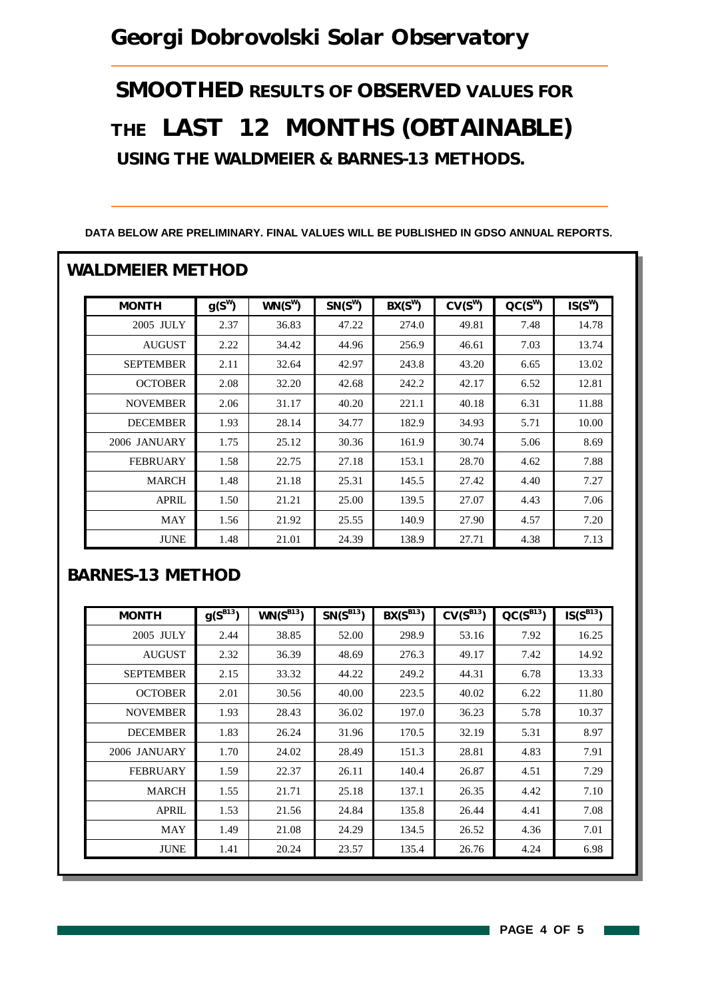## *Georgi Dobrovolski Solar Observatory*

*SMOOTHED RESULTS OF OBSERVED VALUES FOR THE LAST 12 MONTHS (OBTAINABLE) USING THE WALDMEIER & BARNES-13 METHODS.*

| <b>MONTH</b>     | $g(S^W)$ | $WN(S^W)$ | $SN(S^W)$ | $BX(S^W)$ | $CV(S^W)$ | $CC(S^W)$ | $IS(S^W)$ |
|------------------|----------|-----------|-----------|-----------|-----------|-----------|-----------|
| 2005 JULY        | 2.37     | 36.83     | 47.22     | 274.0     | 49.81     | 7.48      | 14.78     |
| <b>AUGUST</b>    | 2.22     | 34.42     | 44.96     | 256.9     | 46.61     | 7.03      | 13.74     |
| <b>SEPTEMBER</b> | 2.11     | 32.64     | 42.97     | 243.8     | 43.20     | 6.65      | 13.02     |
| <b>OCTOBER</b>   | 2.08     | 32.20     | 42.68     | 242.2     | 42.17     | 6.52      | 12.81     |
| <b>NOVEMBER</b>  | 2.06     | 31.17     | 40.20     | 221.1     | 40.18     | 6.31      | 11.88     |
| <b>DECEMBER</b>  | 1.93     | 28.14     | 34.77     | 182.9     | 34.93     | 5.71      | 10.00     |
| 2006 JANUARY     | 1.75     | 25.12     | 30.36     | 161.9     | 30.74     | 5.06      | 8.69      |
| <b>FEBRUARY</b>  | 1.58     | 22.75     | 27.18     | 153.1     | 28.70     | 4.62      | 7.88      |
| <b>MARCH</b>     | 1.48     | 21.18     | 25.31     | 145.5     | 27.42     | 4.40      | 7.27      |
| <b>APRIL</b>     | 1.50     | 21.21     | 25.00     | 139.5     | 27.07     | 4.43      | 7.06      |
| <b>MAY</b>       | 1.56     | 21.92     | 25.55     | 140.9     | 27.90     | 4.57      | 7.20      |
| <b>JUNE</b>      | 1.48     | 21.01     | 24.39     | 138.9     | 27.71     | 4.38      | 7.13      |

#### **DATA BELOW ARE PRELIMINARY. FINAL VALUES WILL BE PUBLISHED IN GDSO ANNUAL REPORTS.**

### *BARNES-13 METHOD*

| <b>MONTH</b>     | $g(S^{B13})$ | $WN(S^{B13})$ | $SN(S^{B13})$ | $BX(S^{B13})$ | $CV(S^{B13})$ | $QC(S^{B13})$ | $IS(S^{B13})$ |
|------------------|--------------|---------------|---------------|---------------|---------------|---------------|---------------|
| 2005 JULY        | 2.44         | 38.85         | 52.00         | 298.9         | 53.16         | 7.92          | 16.25         |
| <b>AUGUST</b>    | 2.32         | 36.39         | 48.69         | 276.3         | 49.17         | 7.42          | 14.92         |
| <b>SEPTEMBER</b> | 2.15         | 33.32         | 44.22         | 249.2         | 44.31         | 6.78          | 13.33         |
| <b>OCTOBER</b>   | 2.01         | 30.56         | 40.00         | 223.5         | 40.02         | 6.22          | 11.80         |
| <b>NOVEMBER</b>  | 1.93         | 28.43         | 36.02         | 197.0         | 36.23         | 5.78          | 10.37         |
| <b>DECEMBER</b>  | 1.83         | 26.24         | 31.96         | 170.5         | 32.19         | 5.31          | 8.97          |
| 2006 JANUARY     | 1.70         | 24.02         | 28.49         | 151.3         | 28.81         | 4.83          | 7.91          |
| <b>FEBRUARY</b>  | 1.59         | 22.37         | 26.11         | 140.4         | 26.87         | 4.51          | 7.29          |
| <b>MARCH</b>     | 1.55         | 21.71         | 25.18         | 137.1         | 26.35         | 4.42          | 7.10          |
| <b>APRIL</b>     | 1.53         | 21.56         | 24.84         | 135.8         | 26.44         | 4.41          | 7.08          |
| MAY              | 1.49         | 21.08         | 24.29         | 134.5         | 26.52         | 4.36          | 7.01          |
| <b>JUNE</b>      | 1.41         | 20.24         | 23.57         | 135.4         | 26.76         | 4.24          | 6.98          |